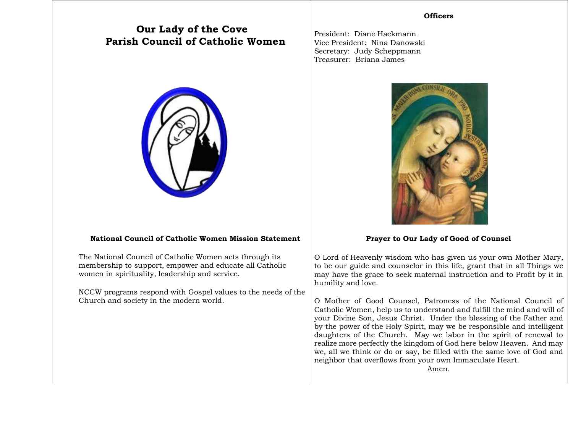# **Our Lady of the Cove Parish Council of Catholic Women**



### **National Council of Catholic Women Mission Statement**

The National Council of Catholic Women acts through its membership to support, empower and educate all Catholic women in spirituality, leadership and service.

NCCW programs respond with Gospel values to the needs of the Church and society in the modern world.

President: Diane Hackmann Vice President: Nina Danowski Secretary: Judy Scheppmann Treasurer: Briana James



**Prayer to Our Lady of Good of Counsel** 

O Lord of Heavenly wisdom who has given us your own Mother Mary, to be our guide and counselor in this life, grant that in all Things we may have the grace to seek maternal instruction and to Profit by it in humility and love.

O Mother of Good Counsel, Patroness of the National Council of Catholic Women, help us to understand and fulfill the mind and will of your Divine Son, Jesus Christ. Under the blessing of the Father and by the power of the Holy Spirit, may we be responsible and intelligent daughters of the Church. May we labor in the spirit of renewal to realize more perfectly the kingdom of God here below Heaven. And may we, all we think or do or say, be filled with the same love of God and neighbor that overflows from your own Immaculate Heart.

Amen.